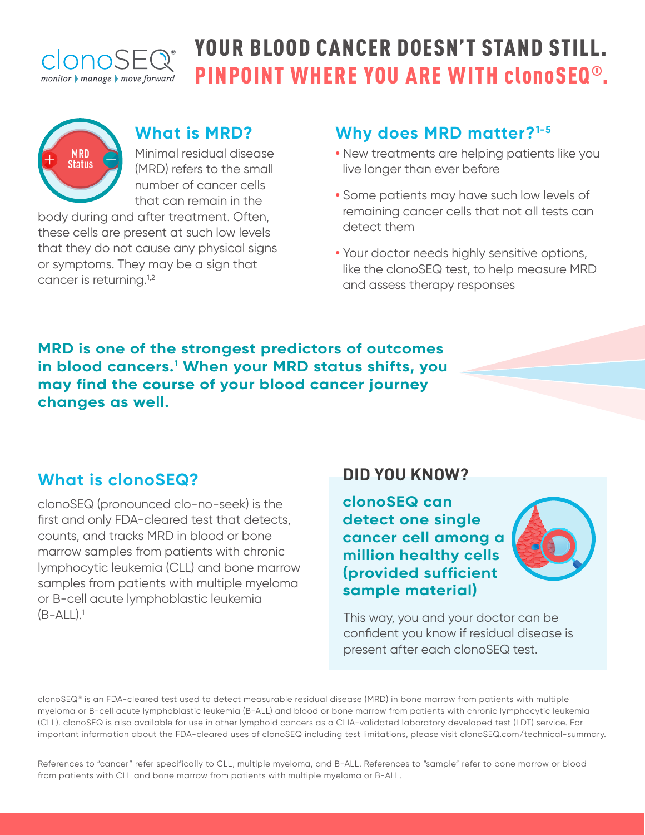

# YOUR BLOOD CANCER DOESN'T STAND STILL. PINPOINT WHERE YOU ARE WITH clonoSEQ®.



#### **What is MRD?**

Minimal residual disease (MRD) refers to the small number of cancer cells that can remain in the

body during and after treatment. Often, these cells are present at such low levels that they do not cause any physical signs or symptoms. They may be a sign that cancer is returning.<sup>1,2</sup>

## **Why does MRD matter?1-5**

- **•** New treatments are helping patients like you live longer than ever before
- **•** Some patients may have such low levels of remaining cancer cells that not all tests can detect them
- **•** Your doctor needs highly sensitive options, like the clonoSEQ test, to help measure MRD and assess therapy responses

**MRD is one of the strongest predictors of outcomes in blood cancers.1 When your MRD status shifts, you may find the course of your blood cancer journey changes as well.**

### **What is clonoSEQ?**

clonoSEQ (pronounced clo-no-seek) is the first and only FDA-cleared test that detects, counts, and tracks MRD in blood or bone marrow samples from patients with chronic lymphocytic leukemia (CLL) and bone marrow samples from patients with multiple myeloma or B-cell acute lymphoblastic leukemia  $(B-ALL).$ <sup>1</sup>

### **DID YOU KNOW?**

**clonoSEQ can detect one single cancer cell among a million healthy cells (provided sufficient sample material)**



This way, you and your doctor can be confident you know if residual disease is present after each clonoSEQ test.

clonoSEQ® is an FDA-cleared test used to detect measurable residual disease (MRD) in bone marrow from patients with multiple myeloma or B-cell acute lymphoblastic leukemia (B-ALL) and blood or bone marrow from patients with chronic lymphocytic leukemia (CLL). clonoSEQ is also available for use in other lymphoid cancers as a CLIA-validated laboratory developed test (LDT) service. For important information about the FDA-cleared uses of clonoSEQ including test limitations, please visit clonoSEQ.com/technical-summary.

References to "cancer" refer specifically to CLL, multiple myeloma, and B-ALL. References to "sample" refer to bone marrow or blood from patients with CLL and bone marrow from patients with multiple myeloma or B-ALL.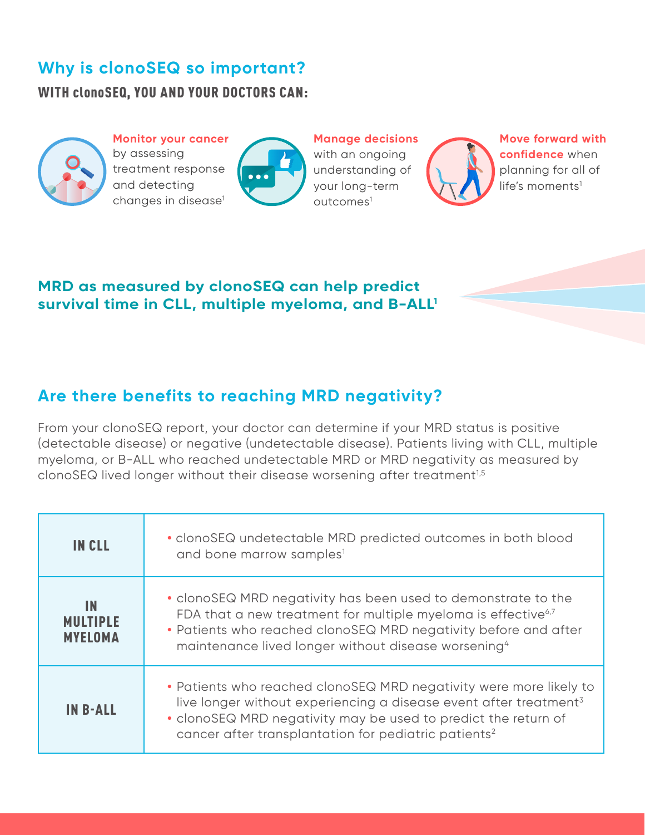## **Why is clonoSEQ so important?**

WITH clonoSEQ, YOU AND YOUR DOCTORS CAN:



**Monitor your cancer** by assessing treatment response and detecting changes in disease<sup>1</sup>



**Manage decisions** with an ongoing understanding of your long-term outcomes1



**Move forward with confidence** when planning for all of  $life's$  moments<sup>1</sup>

#### **MRD as measured by clonoSEQ can help predict survival time in CLL, multiple myeloma, and B-ALL1**

## **Are there benefits to reaching MRD negativity?**

From your clonoSEQ report, your doctor can determine if your MRD status is positive (detectable disease) or negative (undetectable disease). Patients living with CLL, multiple myeloma, or B-ALL who reached undetectable MRD or MRD negativity as measured by clonoSEQ lived longer without their disease worsening after treatment<sup>1,5</sup>

| <b>IN CLL</b>                           | • clonoSEQ undetectable MRD predicted outcomes in both blood<br>and bone marrow samples <sup>1</sup>                                                                                                                                                                                      |
|-----------------------------------------|-------------------------------------------------------------------------------------------------------------------------------------------------------------------------------------------------------------------------------------------------------------------------------------------|
| IN<br><b>MULTIPLE</b><br><b>MYELOMA</b> | · clonoSEQ MRD negativity has been used to demonstrate to the<br>FDA that a new treatment for multiple myeloma is effective <sup>6,7</sup><br>• Patients who reached clonoSEQ MRD negativity before and after<br>maintenance lived longer without disease worsening <sup>4</sup>          |
| <b>IN B-ALL</b>                         | • Patients who reached clonoSEQ MRD negativity were more likely to<br>live longer without experiencing a disease event after treatment <sup>3</sup><br>• clonoSEQ MRD negativity may be used to predict the return of<br>cancer after transplantation for pediatric patients <sup>2</sup> |